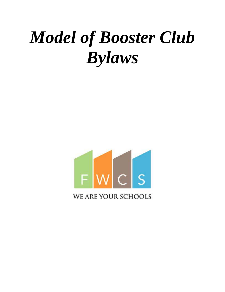# *Model of Booster Club Bylaws*



**WE ARE YOUR SCHOOLS**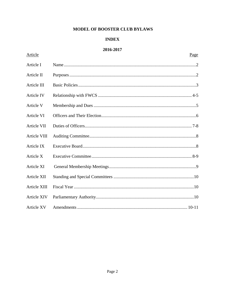# MODEL OF BOOSTER CLUB BYLAWS

# **INDEX**

# 2016-2017

Article

| Article I           |  |
|---------------------|--|
| Article II          |  |
| Article III         |  |
| Article IV          |  |
| Article V           |  |
| Article VI          |  |
| Article VII         |  |
| Article VIII        |  |
| Article IX          |  |
| Article X           |  |
| Article XI          |  |
| Article XII         |  |
| <b>Article XIII</b> |  |
| <b>Article XIV</b>  |  |
| <b>Article XV</b>   |  |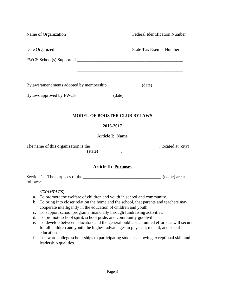| Name of Organization                                                                                                                                                                                                                                                                                                                                                                                                                                                                                                                                                                                                                                                                                                                           | <b>Federal Identification Number</b> |
|------------------------------------------------------------------------------------------------------------------------------------------------------------------------------------------------------------------------------------------------------------------------------------------------------------------------------------------------------------------------------------------------------------------------------------------------------------------------------------------------------------------------------------------------------------------------------------------------------------------------------------------------------------------------------------------------------------------------------------------------|--------------------------------------|
| Date Organized                                                                                                                                                                                                                                                                                                                                                                                                                                                                                                                                                                                                                                                                                                                                 | <b>State Tax Exempt Number</b>       |
|                                                                                                                                                                                                                                                                                                                                                                                                                                                                                                                                                                                                                                                                                                                                                |                                      |
|                                                                                                                                                                                                                                                                                                                                                                                                                                                                                                                                                                                                                                                                                                                                                |                                      |
| Bylaws/amendments adopted by membership _________________ (date)                                                                                                                                                                                                                                                                                                                                                                                                                                                                                                                                                                                                                                                                               |                                      |
| Bylaws approved by FWCS __________________ (date)                                                                                                                                                                                                                                                                                                                                                                                                                                                                                                                                                                                                                                                                                              |                                      |
| <b>MODEL OF BOOSTER CLUB BYLAWS</b>                                                                                                                                                                                                                                                                                                                                                                                                                                                                                                                                                                                                                                                                                                            |                                      |
| 2016-2017                                                                                                                                                                                                                                                                                                                                                                                                                                                                                                                                                                                                                                                                                                                                      |                                      |
| Article I: Name                                                                                                                                                                                                                                                                                                                                                                                                                                                                                                                                                                                                                                                                                                                                |                                      |
|                                                                                                                                                                                                                                                                                                                                                                                                                                                                                                                                                                                                                                                                                                                                                |                                      |
| Article II: Purposes                                                                                                                                                                                                                                                                                                                                                                                                                                                                                                                                                                                                                                                                                                                           |                                      |
| follows:                                                                                                                                                                                                                                                                                                                                                                                                                                                                                                                                                                                                                                                                                                                                       |                                      |
| (EXAMPLES)<br>To promote the welfare of children and youth in school and community.<br>a.<br>To bring into closer relation the home and the school, that parents and teachers may<br>b.<br>cooperate intelligently in the education of children and youth.<br>To support school programs financially through fundraising activities.<br>c.<br>To promote school spirit, school pride, and community goodwill.<br>d.<br>To develop between educators and the general public such united efforts as will secure<br>e.<br>for all children and youth the highest advantages in physical, mental, and social<br>education.<br>To award college scholarships to participating students showing exceptional skill and<br>f.<br>leadership qualities. |                                      |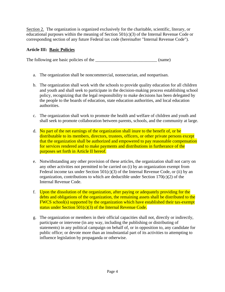Section 2. The organization is organized exclusively for the charitable, scientific, literary, or educational purposes within the meaning of Section  $501(c)(3)$  of the Internal Revenue Code or corresponding section of any future Federal tax code (hereinafter "Internal Revenue Code").

# **Article III: Basic Policies**

The following are basic policies of the \_\_\_\_\_\_\_\_\_\_\_\_\_\_\_\_\_\_\_\_\_\_\_\_\_\_\_\_\_\_\_\_ (name)

- a. The organization shall be noncommercial, nonsectarian, and nonpartisan.
- b. The organization shall work with the schools to provide quality education for all children and youth and shall seek to participate in the decision-making process establishing school policy, recognizing that the legal responsibility to make decisions has been delegated by the people to the boards of education, state education authorities, and local education authorities.
- c. The organization shall work to promote the health and welfare of children and youth and shall seek to promote collaboration between parents, schools, and the community at large.
- d. No part of the net earnings of the organization shall inure to the benefit of, or be distributable to its members, directors, trustees, officers, or other private persons except that the organization shall be authorized and empowered to pay reasonable compensation for services rendered and to make payments and distributions in furtherance of the purposes set forth in Article II hereof.
- e. Notwithstanding any other provision of these articles, the organization shall not carry on any other activities not permitted to be carried on (i) by an organization exempt from Federal income tax under Section  $501(c)(3)$  of the Internal Revenue Code, or (ii) by an organization, contributions to which are deductible under Section  $170(c)(2)$  of the Internal Revenue Code.
- f. Upon the dissolution of the organization, after paying or adequately providing for the debts and obligations of the organization, the remaining assets shall be distributed to the FWCS school(s) supported by the organization which have established their tax-exempt status under Section 501(c)(3) of the Internal Revenue Code.
- g. The organization or members in their official capacities shall not, directly or indirectly, participate or intervene (in any way, including the publishing or distributing of statements) in any political campaign on behalf of, or in opposition to, any candidate for public office; or devote more than an insubstantial part of its activities to attempting to influence legislation by propaganda or otherwise.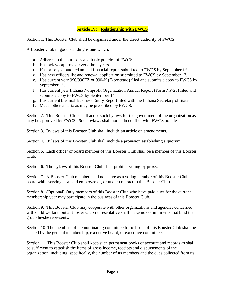## **Article IV: Relationship with FWCS**

Section 1. This Booster Club shall be organized under the direct authority of FWCS.

A Booster Club in good standing is one which:

- a. Adheres to the purposes and basic policies of FWCS.
- b. Has bylaws approved every three years.
- c. Has prior year audited annual financial report submitted to FWCS by September 1<sup>st</sup>.
- d. Has new officers list and renewal application submitted to FWCS by September 1<sup>st</sup>.
- e. Has current year 990/990EZ or 990-N (E-postcard) filed and submits a copy to FWCS by September  $1<sup>st</sup>$ .
- f. Has current year Indiana Nonprofit Organization Annual Report (Form NP-20) filed and submits a copy to FWCS by September  $1<sup>st</sup>$ .
- g. Has current biennial Business Entity Report filed with the Indiana Secretary of State.
- h. Meets other criteria as may be prescribed by FWCS.

Section 2. This Booster Club shall adopt such bylaws for the government of the organization as may be approved by FWCS. Such bylaws shall not be in conflict with FWCS policies.

Section 3. Bylaws of this Booster Club shall include an article on amendments.

Section 4. Bylaws of this Booster Club shall include a provision establishing a quorum.

Section 5. Each officer or board member of this Booster Club shall be a member of this Booster Club.

Section 6. The bylaws of this Booster Club shall prohibit voting by proxy.

Section 7. A Booster Club member shall not serve as a voting member of this Booster Club board while serving as a paid employee of, or under contract to this Booster Club.

Section 8. (Optional) Only members of this Booster Club who have paid dues for the current membership year may participate in the business of this Booster Club.

Section 9. This Booster Club may cooperate with other organizations and agencies concerned with child welfare, but a Booster Club representative shall make no commitments that bind the group he/she represents.

Section 10. The members of the nominating committee for officers of this Booster Club shall be elected by the general membership, executive board, or executive committee.

Section 11. This Booster Club shall keep such permanent books of account and records as shall be sufficient to establish the items of gross income, receipts and disbursements of the organization, including, specifically, the number of its members and the dues collected from its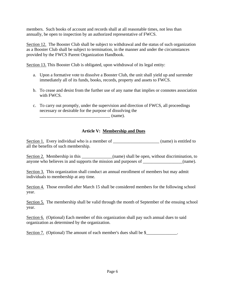members. Such books of account and records shall at all reasonable times, not less than annually, be open to inspection by an authorized representative of FWCS.

Section 12. The Booster Club shall be subject to withdrawal and the status of such organization as a Booster Club shall be subject to termination, in the manner and under the circumstances provided by the FWCS Parent Organization Handbook.

Section 13. This Booster Club is obligated, upon withdrawal of its legal entity:

- a. Upon a formative vote to dissolve a Booster Club, the unit shall yield up and surrender immediately all of its funds, books, records, property and assets to FWCS.
- b. To cease and desist from the further use of any name that implies or connotes association with FWCS.
- c. To carry out promptly, under the supervision and direction of FWCS, all proceedings necessary or desirable for the purpose of dissolving the

 $\Box$  (name).

## **Article V: Membership and Dues**

Section 1. Every individual who is a member of \_\_\_\_\_\_\_\_\_\_\_\_\_\_\_\_\_\_\_\_\_\_\_ (name) is entitled to all the benefits of such membership.

Section 2. Membership in this \_\_\_\_\_\_\_\_\_\_\_\_(name) shall be open, without discrimination, to anyone who believes in and supports the mission and purposes of \_\_\_\_\_\_\_\_\_\_\_\_\_\_\_(name).

Section 3. This organization shall conduct an annual enrollment of members but may admit individuals to membership at any time.

Section 4. Those enrolled after March 15 shall be considered members for the following school year.

Section 5. The membership shall be valid through the month of September of the ensuing school year.

Section 6. (Optional) Each member of this organization shall pay such annual dues to said organization as determined by the organization.

Section 7. (Optional) The amount of each member's dues shall be \$\_\_\_\_\_\_\_\_\_\_\_\_\_.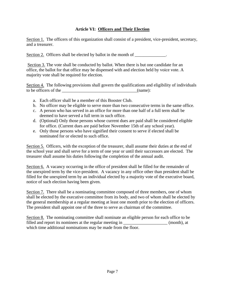## **Article VI: Officers and Their Election**

Section 1. The officers of this organization shall consist of a president, vice-president, secretary, and a treasurer.

Section 2. Officers shall be elected by ballot in the month of \_\_\_\_\_\_\_\_\_\_\_\_.

Section 3. The vote shall be conducted by ballot. When there is but one candidate for an office, the ballot for that office may be dispensed with and election held by voice vote. A majority vote shall be required for election.

Section 4. The following provisions shall govern the qualifications and eligibility of individuals to be officers of the \_\_\_\_\_\_\_\_\_\_\_\_\_\_\_\_\_\_\_\_\_\_\_\_\_\_\_\_\_\_\_\_\_\_(name):

- a. Each officer shall be a member of this Booster Club.
- b. No officer may be eligible to serve more than two consecutive terms in the same office.
- c. A person who has served in an office for more than one half of a full term shall be deemed to have served a full term in such office.
- d. (Optional) Only those persons whose current dues are paid shall be considered eligible for office. (Current dues are paid before November 15th of any school year).
- e. Only those persons who have signified their consent to serve if elected shall be nominated for or elected to such office.

Section 5. Officers, with the exception of the treasurer, shall assume their duties at the end of the school year and shall serve for a term of one year or until their successors are elected. The treasurer shall assume his duties following the completion of the annual audit.

Section 6. A vacancy occurring in the office of president shall be filled for the remainder of the unexpired term by the vice-president. A vacancy in any office other than president shall be filled for the unexpired term by an individual elected by a majority vote of the executive board, notice of such election having been given.

Section 7. There shall be a nominating committee composed of three members, one of whom shall be elected by the executive committee from its body, and two of whom shall be elected by the general membership at a regular meeting at least one month prior to the election of officers. The president shall appoint one of the three to serve as chairman of the committee.

Section 8. The nominating committee shall nominate an eligible person for each office to be filled and report its nominees at the regular meeting in  $(month)$ , at which time additional nominations may be made from the floor.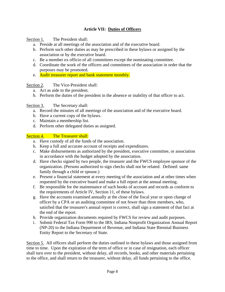# **Article VII: Duties of Officers**

Section 1. The President shall:

- a. Preside at all meetings of the association and of the executive board.
- b. Perform such other duties as may be prescribed in these bylaws or assigned by the association or by the executive board.
- c. Be a member ex officio of all committees except the nominating committee.
- d. Coordinate the work of the officers and committees of the association in order that the purposes may be promoted.
- e. Audit treasurer report and bank statement monthly.

## Section 2. The Vice-President shall:

- a. Act as aide to the president.
- b. Perform the duties of the president in the absence or inability of that officer to act.

## Section 3. The Secretary shall:

- a. Record the minutes of all meetings of the association and of the executive board.
- b. Have a current copy of the bylaws.
- c. Maintain a membership list.
- d. Perform other delegated duties as assigned.

## Section 4. The Treasurer shall:

- a. Have custody of all the funds of the association.
- b. Keep a full and accurate account of receipts and expenditures.
- c. Make disbursements as authorized by the president, executive committee, or association in accordance with the budget adopted by the association.
- d. Have checks signed by two people, the treasurer and the FWCS employee sponsor of the organization. (Persons authorized to sign checks shall not be related. Defined: same family through a child or spouse.)
- e. Present a financial statement at every meeting of the association and at other times when requested by the executive board and make a full report at the annual meeting.
- f. Be responsible for the maintenance of such books of account and records as conform to the requirements of Article IV, Section 11, of these bylaws.
- g. Have the accounts examined annually at the close of the fiscal year or upon change of officer by a CPA or an auditing committee of not fewer than three members, who, satisfied that the treasurer's annual report is correct, shall sign a statement of that fact at the end of the report.
- h. Provide organization documents required by FWCS for review and audit purposes.
- i. Submit Federal Tax Form 990 to the IRS, Indiana Nonprofit Organization Annual Report (NP-20) to the Indiana Department of Revenue, and Indiana State Biennial Business Entity Report to the Secretary of State.

Section 5. All officers shall perform the duties outlined in these bylaws and those assigned from time to time. Upon the expiration of the term of office or in case of resignation, each officer shall turn over to the president, without delay, all records, books, and other materials pertaining to the office, and shall return to the treasurer, without delay, all funds pertaining to the office.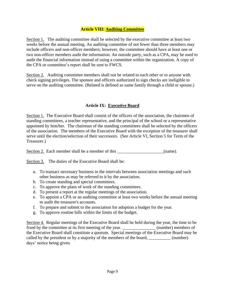#### **Article VIII: Auditing Committee**

Section 1. The auditing committee shall be selected by the executive committee at least two weeks before the annual meeting. An auditing committee of not fewer than three members may include officers and non-officer members; however, the committee should have at least one or two non-officer members audit the information. An outside party, such as a CPA, may be used to audit the financial information instead of using a committee within the organization. A copy of the CPA or committee's report shall be sent to FWCS.

Section 2. Auditing committee members shall not be related to each other or to anyone with check signing privileges. The sponsor and officers authorized to sign checks are ineligible to serve on the auditing committee. (Related is defined as same family through a child or spouse.)

## **Article IX: Executive Board**

Section 1. The Executive Board shall consist of the officers of the association, the chairmen of standing committees, a teacher representative, and the principal of the school or a representative appointed by him/her. The chairman of the standing committees shall be selected by the officers of the association. The members of the Executive Board with the exception of the treasurer shall serve until the election/selection of their successors. (See Article VI, Section 5 for Term of the Treasurer.)

Section 2. Each member shall be a member of this \_\_\_\_\_\_\_\_\_\_\_\_\_\_\_\_\_\_\_(name).

Section 3. The duties of the Executive Board shall be:

- a. To transact necessary business in the intervals between association meetings and such other business as may be referred to it by the association.
- b. To create standing and special committees.
- c. To approve the plans of work of the standing committees.
- d. To present a report at the regular meetings of the association.
- e. To appoint a CPA or an auditing committee at least two weeks before the annual meeting to audit the treasurer's accounts.
- f. To prepare and submit to the association for adoption a budget for the year.
- g. To approve routine bills within the limits of the budget.

Section 4. Regular meetings of the Executive Board shall be held during the year, the time to be fixed by the committee at its first meeting of the year. \_\_\_\_\_\_\_\_\_\_\_\_\_\_\_ (number) members of the Executive Board shall constitute a quorum. Special meetings of the Executive Board may be called by the president or by a majority of the members of the board, \_\_\_\_\_\_\_\_\_\_\_ (number) days' notice being given.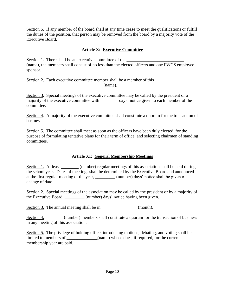Section 5. If any member of the board shall at any time cease to meet the qualifications or fulfill the duties of the position, that person may be removed from the board by a majority vote of the Executive Board.

## **Article X: Executive Committee**

Section 1. There shall be an executive committee of the (name), the members shall consist of no less than the elected officers and one FWCS employee sponsor.

Section 2. Each executive committee member shall be a member of this  $(name)$ .

Section 3. Special meetings of the executive committee may be called by the president or a majority of the executive committee with days' notice given to each member of the committee.

Section 4. A majority of the executive committee shall constitute a quorum for the transaction of business.

Section 5. The committee shall meet as soon as the officers have been duly elected, for the purpose of formulating tentative plans for their term of office, and selecting chairmen of standing committees.

## **Article XI: General Membership Meetings**

Section 1. At least \_\_\_\_\_\_\_\_ (number) regular meetings of this association shall be held during the school year. Dates of meetings shall be determined by the Executive Board and announced at the first regular meeting of the year, \_\_\_\_\_\_\_\_\_ (number) days' notice shall be given of a change of date.

Section 2. Special meetings of the association may be called by the president or by a majority of the Executive Board, (number) days' notice having been given.

Section 3. The annual meeting shall be in  $(month)$ .

Section 4. \_\_\_\_\_\_\_(number) members shall constitute a quorum for the transaction of business in any meeting of this association.

Section 5. The privilege of holding office, introducing motions, debating, and voting shall be limited to members of  $\qquad \qquad$  (name) whose dues, if required, for the current membership year are paid.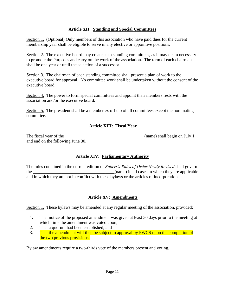#### **Article XII: Standing and Special Committees**

Section 1. (Optional) Only members of this association who have paid dues for the current membership year shall be eligible to serve in any elective or appointive positions.

Section 2. The executive board may create such standing committees, as it may deem necessary to promote the Purposes and carry on the work of the association. The term of each chairman shall be one year or until the selection of a successor.

Section 3. The chairman of each standing committee shall present a plan of work to the executive board for approval. No committee work shall be undertaken without the consent of the executive board.

Section 4. The power to form special committees and appoint their members rests with the association and/or the executive board.

Section 5. The president shall be a member ex officio of all committees except the nominating committee.

#### **Article XIII: Fiscal Year**

| The fiscal year of the            | (name) shall begin on July 1 |
|-----------------------------------|------------------------------|
| and end on the following June 30. |                              |

#### **Article XIV: Parliamentary Authority**

The rules contained in the current edition of *Robert's Rules of Order Newly Revised* shall govern the the contract the contract of the contract of the contract of the contract of the contract of the contract of the contract of the contract of the contract of the contract of the contract of the contract of the contract and in which they are not in conflict with these bylaws or the articles of incorporation.

#### **Article XV: Amendments**

Section 1. These bylaws may be amended at any regular meeting of the association, provided:

- 1. That notice of the proposed amendment was given at least 30 days prior to the meeting at which time the amendment was voted upon;
- 2. That a quorum had been established; and
- 3. That the amendment will then be subject to approval by FWCS upon the completion of the two previous provisions.

Bylaw amendments require a two-thirds vote of the members present and voting.